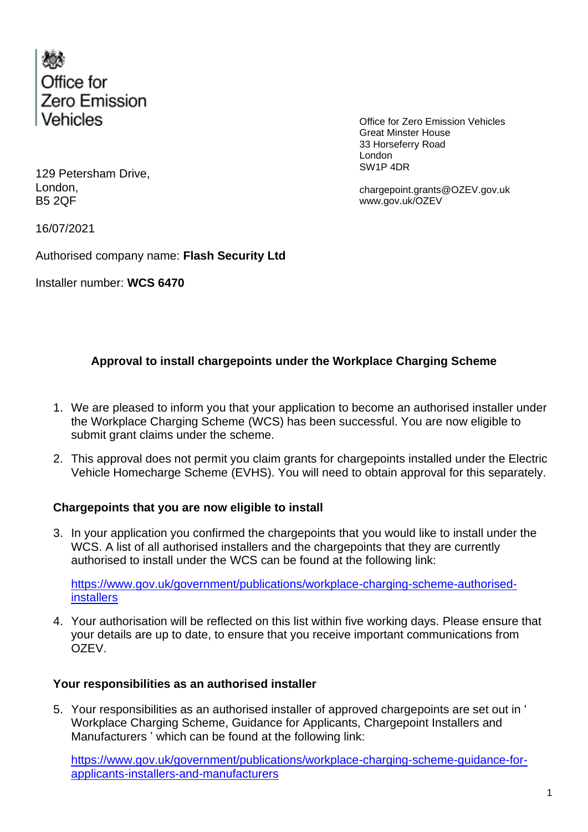

Office for Zero Emission Vehicles Great Minster House 33 Horseferry Road London SW1P 4DR

chargepoint.grants@OZEV.gov.uk www.gov.uk/OZEV

129 Petersham Drive, London, B5 2QF

16/07/2021

Authorised company name: **Flash Security Ltd**

Installer number: **WCS 6470**

## **Approval to install chargepoints under the Workplace Charging Scheme**

- 1. We are pleased to inform you that your application to become an authorised installer under the Workplace Charging Scheme (WCS) has been successful. You are now eligible to submit grant claims under the scheme.
- 2. This approval does not permit you claim grants for chargepoints installed under the Electric Vehicle Homecharge Scheme (EVHS). You will need to obtain approval for this separately.

## **Chargepoints that you are now eligible to install**

3. In your application you confirmed the chargepoints that you would like to install under the WCS. A list of all authorised installers and the chargepoints that they are currently authorised to install under the WCS can be found at the following link:

[https://www.gov.uk/government/publications/workplace-charging-scheme-authorised](https://www.gov.uk/government/publications/workplace-charging-scheme-authorised-installers)[installers](https://www.gov.uk/government/publications/workplace-charging-scheme-authorised-installers)

4. Your authorisation will be reflected on this list within five working days. Please ensure that your details are up to date, to ensure that you receive important communications from OZEV.

## **Your responsibilities as an authorised installer**

5. Your responsibilities as an authorised installer of approved chargepoints are set out in ' Workplace Charging Scheme, Guidance for Applicants, Chargepoint Installers and Manufacturers ' which can be found at the following link:

[https://www.gov.uk/government/publications/workplace-charging-scheme-guidance-for](https://www.gov.uk/government/publications/workplace-charging-scheme-guidance-for-applicants-installers-and-manufacturers)[applicants-installers-and-manufacturers](https://www.gov.uk/government/publications/workplace-charging-scheme-guidance-for-applicants-installers-and-manufacturers)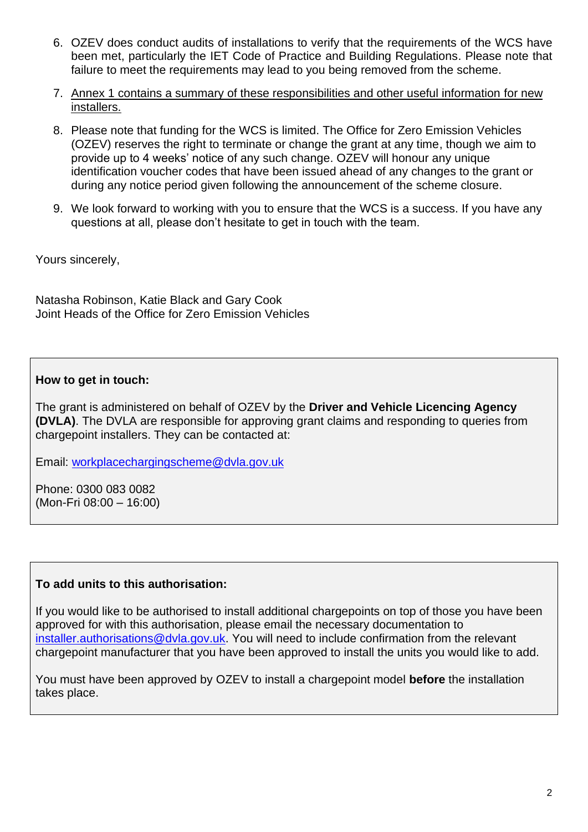- 6. OZEV does conduct audits of installations to verify that the requirements of the WCS have been met, particularly the IET Code of Practice and Building Regulations. Please note that failure to meet the requirements may lead to you being removed from the scheme.
- 7. Annex 1 contains a summary of these responsibilities and other useful information for new installers.
- 8. Please note that funding for the WCS is limited. The Office for Zero Emission Vehicles (OZEV) reserves the right to terminate or change the grant at any time, though we aim to provide up to 4 weeks' notice of any such change. OZEV will honour any unique identification voucher codes that have been issued ahead of any changes to the grant or during any notice period given following the announcement of the scheme closure.
- 9. We look forward to working with you to ensure that the WCS is a success. If you have any questions at all, please don't hesitate to get in touch with the team.

Yours sincerely,

Natasha Robinson, Katie Black and Gary Cook Joint Heads of the Office for Zero Emission Vehicles

## **How to get in touch:**

The grant is administered on behalf of OZEV by the **Driver and Vehicle Licencing Agency (DVLA)**. The DVLA are responsible for approving grant claims and responding to queries from chargepoint installers. They can be contacted at:

Email: [workplacechargingscheme@dvla.gov.uk](mailto:workplacechargingscheme@dvla.gov.uk)

Phone: 0300 083 0082 (Mon-Fri 08:00 – 16:00)

#### **To add units to this authorisation:**

If you would like to be authorised to install additional chargepoints on top of those you have been approved for with this authorisation, please email the necessary documentation to [installer.authorisations@dvla.gov.uk.](mailto:installer.authorisations@dvla.gov.uk) You will need to include confirmation from the relevant chargepoint manufacturer that you have been approved to install the units you would like to add.

You must have been approved by OZEV to install a chargepoint model **before** the installation takes place.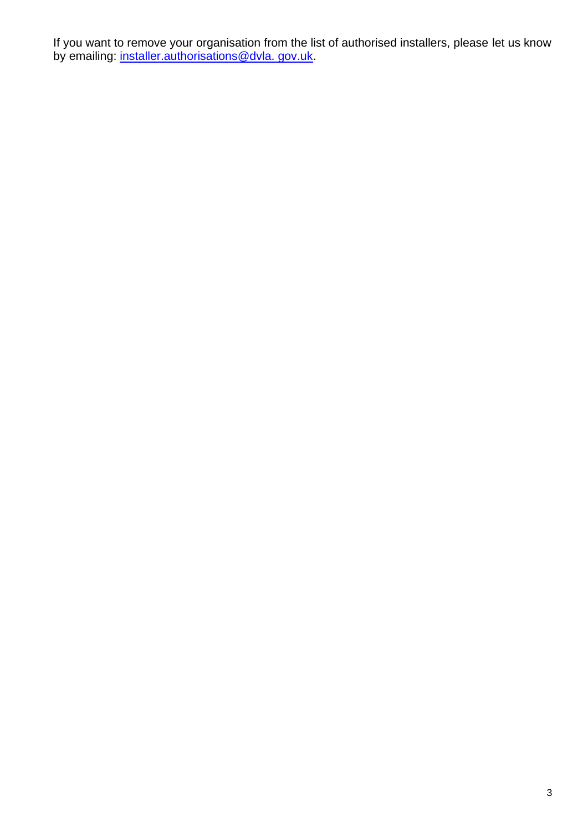If you want to remove your organisation from the list of authorised installers, please let us know by emailing: <u>installer.authorisations@dvla. gov.uk</u>.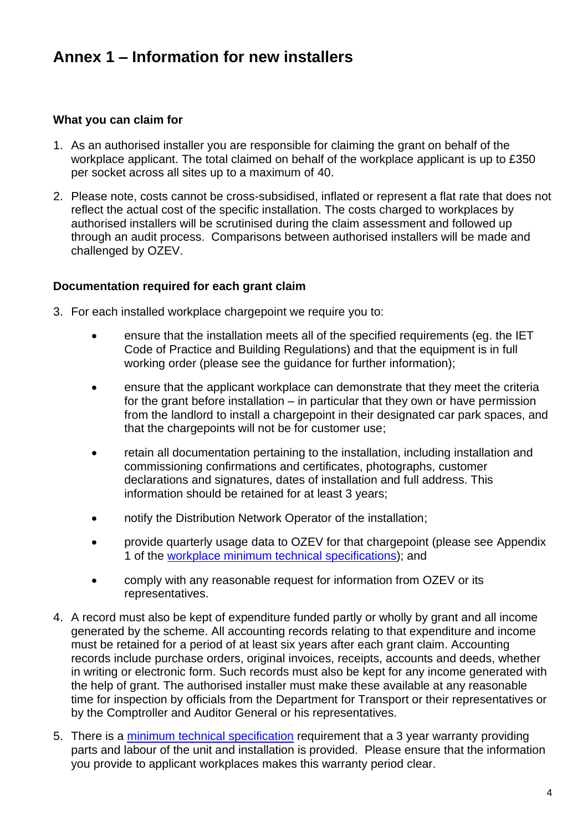# **Annex 1 – Information for new installers**

#### **What you can claim for**

- 1. As an authorised installer you are responsible for claiming the grant on behalf of the workplace applicant. The total claimed on behalf of the workplace applicant is up to £350 per socket across all sites up to a maximum of 40.
- 2. Please note, costs cannot be cross-subsidised, inflated or represent a flat rate that does not reflect the actual cost of the specific installation. The costs charged to workplaces by authorised installers will be scrutinised during the claim assessment and followed up through an audit process. Comparisons between authorised installers will be made and challenged by OZEV.

#### **Documentation required for each grant claim**

- 3. For each installed workplace chargepoint we require you to:
	- ensure that the installation meets all of the specified requirements (eg. the IET Code of Practice and Building Regulations) and that the equipment is in full working order (please see the guidance for further information);
	- ensure that the applicant workplace can demonstrate that they meet the criteria for the grant before installation – in particular that they own or have permission from the landlord to install a chargepoint in their designated car park spaces, and that the chargepoints will not be for customer use;
	- retain all documentation pertaining to the installation, including installation and commissioning confirmations and certificates, photographs, customer declarations and signatures, dates of installation and full address. This information should be retained for at least 3 years;
	- notify the Distribution Network Operator of the installation;
	- provide quarterly usage data to OZEV for that chargepoint (please see Appendix 1 of the [workplace minimum technical specifications\)](https://www.gov.uk/government/publications/workplace-charging-scheme-minimum-technical-specification); and
	- comply with any reasonable request for information from OZEV or its representatives.
- 4. A record must also be kept of expenditure funded partly or wholly by grant and all income generated by the scheme. All accounting records relating to that expenditure and income must be retained for a period of at least six years after each grant claim. Accounting records include purchase orders, original invoices, receipts, accounts and deeds, whether in writing or electronic form. Such records must also be kept for any income generated with the help of grant. The authorised installer must make these available at any reasonable time for inspection by officials from the Department for Transport or their representatives or by the Comptroller and Auditor General or his representatives.
- 5. There is a [minimum technical specification](https://www.gov.uk/government/publications/workplace-charging-scheme-minimum-technical-specification) requirement that a 3 year warranty providing parts and labour of the unit and installation is provided. Please ensure that the information you provide to applicant workplaces makes this warranty period clear.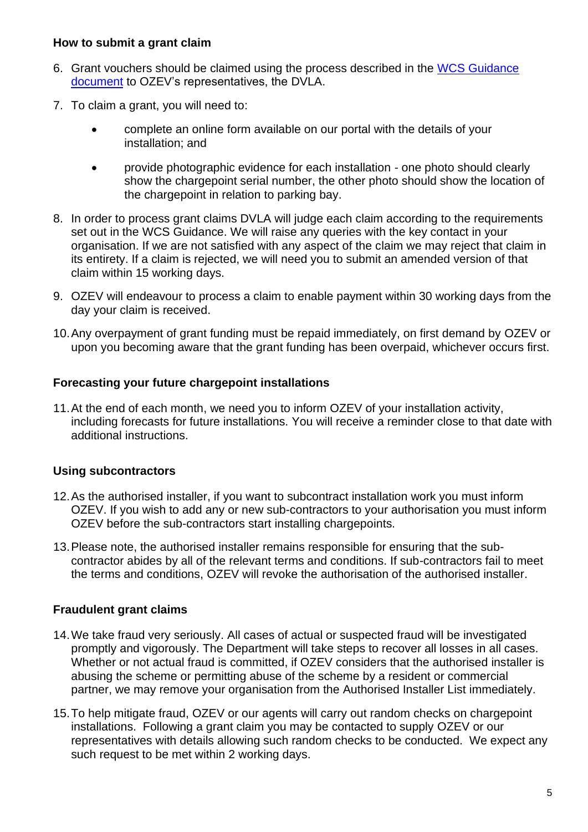#### **How to submit a grant claim**

- 6. Grant vouchers should be claimed using the process described in the [WCS Guidance](file:///C:/Users/BCP-Evansrg/AppData/Local/Microsoft/Windows/gparolin/AppData/Local/Microsoft/Windows/Temporary%20Internet%20Files/Content.Outlook/TNGSY5BI/WCS%20Guidance%20documen)  [document](file:///C:/Users/BCP-Evansrg/AppData/Local/Microsoft/Windows/gparolin/AppData/Local/Microsoft/Windows/Temporary%20Internet%20Files/Content.Outlook/TNGSY5BI/WCS%20Guidance%20documen) to OZEV's representatives, the DVLA.
- 7. To claim a grant, you will need to:
	- complete an online form available on our portal with the details of your installation; and
	- provide photographic evidence for each installation one photo should clearly show the chargepoint serial number, the other photo should show the location of the chargepoint in relation to parking bay.
- 8. In order to process grant claims DVLA will judge each claim according to the requirements set out in the WCS Guidance. We will raise any queries with the key contact in your organisation. If we are not satisfied with any aspect of the claim we may reject that claim in its entirety. If a claim is rejected, we will need you to submit an amended version of that claim within 15 working days.
- 9. OZEV will endeavour to process a claim to enable payment within 30 working days from the day your claim is received.
- 10.Any overpayment of grant funding must be repaid immediately, on first demand by OZEV or upon you becoming aware that the grant funding has been overpaid, whichever occurs first.

#### **Forecasting your future chargepoint installations**

11.At the end of each month, we need you to inform OZEV of your installation activity, including forecasts for future installations. You will receive a reminder close to that date with additional instructions.

## **Using subcontractors**

- 12.As the authorised installer, if you want to subcontract installation work you must inform OZEV. If you wish to add any or new sub-contractors to your authorisation you must inform OZEV before the sub-contractors start installing chargepoints.
- 13.Please note, the authorised installer remains responsible for ensuring that the subcontractor abides by all of the relevant terms and conditions. If sub-contractors fail to meet the terms and conditions, OZEV will revoke the authorisation of the authorised installer.

## **Fraudulent grant claims**

- 14.We take fraud very seriously. All cases of actual or suspected fraud will be investigated promptly and vigorously. The Department will take steps to recover all losses in all cases. Whether or not actual fraud is committed, if OZEV considers that the authorised installer is abusing the scheme or permitting abuse of the scheme by a resident or commercial partner, we may remove your organisation from the Authorised Installer List immediately.
- 15.To help mitigate fraud, OZEV or our agents will carry out random checks on chargepoint installations. Following a grant claim you may be contacted to supply OZEV or our representatives with details allowing such random checks to be conducted. We expect any such request to be met within 2 working days.